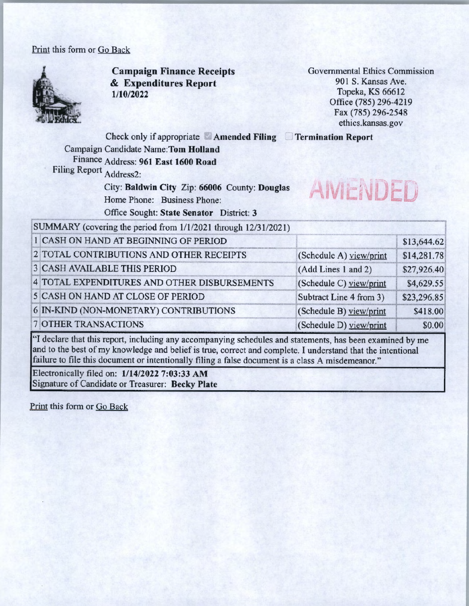## Print this form or Go Back



**Campaign Finance Receipts**  & **Expenditures Report 1/10/2022** 

Governmental Ethics Commission 901 S. Kansas Ave. Topeka, KS 66612 Office (785) 296-4219 Fax (785) 296-2548 ethics.kansas.gov

Check only if appropriate **Amended Filing Termination Report** 

Campaign Candidate **Name:Tom Holland**  Finance Address: **961 East 1600 Road**  Filing Report Address2:

> City: **Baldwin City** Zip: **66006** County: **Douglas**  Home Phone: Business Phone: Office Sought: State Senator District: 3



SUMMARY (covering the period from 1/ 1/2021 through 12/31/2021)

| 1 CASH ON HAND AT BEGINNING OF PERIOD        |                         | \$13,644.62 |
|----------------------------------------------|-------------------------|-------------|
| 2 TOTAL CONTRIBUTIONS AND OTHER RECEIPTS     | (Schedule A) view/print | \$14,281.78 |
| <b>3 CASH AVAILABLE THIS PERIOD</b>          | (Add Lines 1 and 2)     | \$27,926.40 |
| 4 TOTAL EXPENDITURES AND OTHER DISBURSEMENTS | (Schedule C) yiew/print | \$4,629.55  |
| 5 CASH ON HAND AT CLOSE OF PERIOD            | Subtract Line 4 from 3) | \$23,296.85 |
| 6 IN-KIND (NON-MONETARY) CONTRIBUTIONS       | (Schedule B) view/print | \$418.00    |
| <b>7 OTHER TRANSACTIONS</b>                  | (Schedule D) yiew/print | \$0.00      |

"I declare that this report, including any accompanying schedules and statements, has been examined by me and to the best of my knowledge and belief is true, correct and complete. I understand that the intentional failure to file this document or intentionally filing a false document is a class A misdemeanor."

Electronically filed on: **1/14/2022 7:03:33 AM**  Signature of Candidate or Treasurer: **Becky Plate** 

Print this form or Go Back